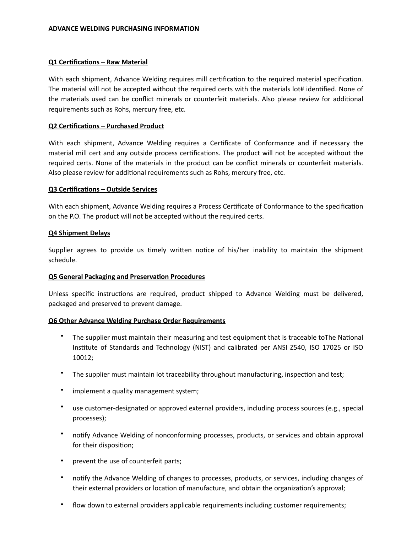## **Q1 Certifications - Raw Material**

With each shipment, Advance Welding requires mill certification to the required material specification. The material will not be accepted without the required certs with the materials lot# identified. None of the materials used can be conflict minerals or counterfeit materials. Also please review for additional requirements such as Rohs, mercury free, etc.

## **Q2 Certifications - Purchased Product**

With each shipment, Advance Welding requires a Certificate of Conformance and if necessary the material mill cert and any outside process certifications. The product will not be accepted without the required certs. None of the materials in the product can be conflict minerals or counterfeit materials. Also please review for additional requirements such as Rohs, mercury free, etc.

#### **Q3 Certifications - Outside Services**

With each shipment, Advance Welding requires a Process Certificate of Conformance to the specification on the P.O. The product will not be accepted without the required certs.

## **Q4 Shipment Delays**

Supplier agrees to provide us timely written notice of his/her inability to maintain the shipment schedule. 

#### **Q5 General Packaging and Preservation Procedures**

Unless specific instructions are required, product shipped to Advance Welding must be delivered, packaged and preserved to prevent damage.

# **Q6 Other Advance Welding Purchase Order Requirements**

- The supplier must maintain their measuring and test equipment that is traceable toThe National Institute of Standards and Technology (NIST) and calibrated per ANSI Z540, ISO 17025 or ISO 10012;
- The supplier must maintain lot traceability throughout manufacturing, inspection and test;
- implement a quality management system;
- use customer-designated or approved external providers, including process sources (e.g., special processes);
- notify Advance Welding of nonconforming processes, products, or services and obtain approval for their disposition;
- prevent the use of counterfeit parts;
- notify the Advance Welding of changes to processes, products, or services, including changes of their external providers or location of manufacture, and obtain the organization's approval;
- flow down to external providers applicable requirements including customer requirements;